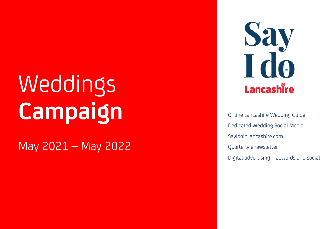# Weddings **Campaign**

May 2021 - May 2022

Say<br>Tdo Lancashire

Online Lancashire Wedding Guide Dedicated Wedding Social Media SayIdoinLancashire.com Quarterly enewsletter Digital advertising – adwords and social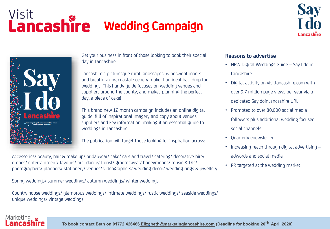### Visit **Lancashire** Wedding Campaign





Get your business in front of those looking to book their special day in Lancashire.

Lancashire's picturesque rural landscapes, windswept moors and breath taking coastal scenery make it an ideal backdrop for weddings. This handy guide focuses on wedding venues and suppliers around the county, and makes planning the perfect day, a piece of cake!

This brand new 12 month campaign includes an online digital guide, full of inspirational imagery and copy about venues, suppliers and key information, making it an essential guide to weddings in Lancashire.

The publication will target those looking for inspiration across:

Accessories/ beauty, hair & make up/ bridalwear/ cake/ cars and travel/ catering/ decorative hire/ drones/ entertainment/ favours/ first dance/ florist/ groomswear/ honeymoons/ music & DJs/ photographers/ planners/ stationery/ venues/ videographers/ wedding decor/ wedding rings & jewellery

Spring weddings/ summer weddings/ autumn weddings/ winter weddings

Country house weddings/ glamorous weddings/ intimate weddings/ rustic weddings/ seaside weddings/ unique weddings/ vintage weddings

#### **Reasons to advertise**

- NEW Digital Weddings Guide Say I do in Lancashire
- Digital activity on visitlancashire.com with over 9.7 million page views per year via a dedicated SayIdoinLancashire URL
- Promoted to over 80,000 social media followers plus additional wedding focused social channels
- Quarterly enewsletter
- Increasing reach through digital advertising adwords and social media
- PR targeted at the wedding market

### Marketin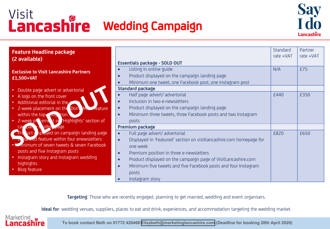## Visit **Lancashire** Wedding Campaign



| <b>Feature Headline package</b><br>(2 available)                                                                                                                                                                                                                                      | <b>Essentials package - SOLD OUT</b>                                                                                                                                                                                                                                                                                                                                                                           | Standard<br>rate +VAT | Partner<br>rate +VAT |
|---------------------------------------------------------------------------------------------------------------------------------------------------------------------------------------------------------------------------------------------------------------------------------------|----------------------------------------------------------------------------------------------------------------------------------------------------------------------------------------------------------------------------------------------------------------------------------------------------------------------------------------------------------------------------------------------------------------|-----------------------|----------------------|
| <b>Exclusive to Visit Lancashire Partners</b><br>£1,500+VAT                                                                                                                                                                                                                           | Listing in online quide<br>Product displayed on the campaign landing page<br>Minimum one tweet, one Facebook post, one Instagram post<br><b>Standard package</b>                                                                                                                                                                                                                                               | N/A                   | £75                  |
| • Double page advert or advertorial<br>• A logo on the front cover<br>• Additional editorial in the<br>• 2-week placement on the Don M <sub>b</sub> reature<br>within the top avis, tion<br>. 2-week ple ceme to "Highlights' section of                                              | Half page advert/ advertorial<br>$\bullet$<br>Inclusion in two e-newsletters<br>$\bullet$<br>Product displayed on the campaign landing page<br>$\bullet$<br>Minimum three tweets, three Facebook posts and two Instagram<br>$\bullet$<br>posts                                                                                                                                                                 | £440                  | £350                 |
| adin Jage<br>car par<br><b>Provident of Sphayed on campaign landing page</b><br><b>The Teature within four enewsletters</b><br>. Gainimum of seven tweets & seven Facebook<br>posts and five Instagram posts<br>• Instagram story and Instagram wedding<br>highlights<br>Blog feature | Premium package<br>Full page advert/ advertorial<br>$\bullet$<br>Displayed in 'Featured' section on visitlancashire.com homepage for<br>$\bullet$<br>one week<br>Premium position in three e-newsletters<br>$\bullet$<br>Product displayed on the campaign page of VisitLancashire.com<br>$\bullet$<br>Minimum five tweets and five Facebook posts and four Instagram<br>$\bullet$<br>posts<br>Instagram story | £820                  | £650                 |

**Targeting**: Those who are recently engaged, planning to get married, wedding and event organisers.

**Ideal for**: wedding venues, suppliers, places to eat and drink, experiences, and accommodation targeting the wedding market.

**Marketing** Lancashire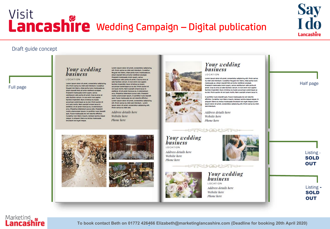### Visit **Lancashire** Wedding Campaign – Digital publication

# **Say<br>I do** Lancashire

#### Draft guide concept

Full page

#### Your wedding *business* LOCATION

#### Lorem Insum dolor sit amet, consectetur adipiscine

ellit. Droin varius eu nibh sed interdum. Curabitur feuglat nisi libero, vitae porta nunc malesuada ac. Etiam blandit fells at tortor eleifend volutoat. **Draesent malesuada lorem quam varius** vestibulum odlo porta sit amet. Cras eu eros ut odio facilide subsum, la non enim non tanien facilisis imperdiet. Nunc id teilus eu turnis accumsan scelerisque ac eu dul Droin austre et orci quis mollis. Nam suscipit ornare lacus in eleifend. Ut sit amet rhoncus ex. In elementum arcu. Phasellus bibendum purus odio. Praesent molils ullamcorper Ipsum, in porttitor nunc blandit quis. Fusce malesuada leo vel lobortis efficitur. Curabitur non libero mauris. Aenean lacinia neque neque. In allquam libero eu lectus malesuada tincidunt non euet neque.

Lorem Ipsum dolor sit amet, consectetur adipiscing ellt. Proin varius eu nibh sed interdum. Curabitur feuglat nisi libero, vitae porta nunc malesuada ac. Etiam blandit fells at tortor eleifend volutoat Praesent malesuada lorem quam, varius vestibulum odio porta sit amet. Cras eu eros ut odio facilisis rutrum. In non enim non sapien facilisis imperdiet. Nunc id tellus eu turpis accumsan scelerisque ac eu dui, Proin auctor et orci quis moilis. Nam suscipit ornare lacus in eleifend. Ut sit amet rhoncus ex. In elementum arcu. Dhasellus bibendum nurus odio. Draesent mollis ullamcorper losum, in porttitor nunc blandit quis. Fusce malesuada leo vel lobortis efficitur. Lorem Ipsum dolor sit amet, consectetur adipiscing ellt. Proin varius eu nibh sed interdum. Lorem Ipsum dolor sit amet, consectetur adipiscing ellt. Proin varius eu nibh sed.

Address details here Website here Phone here



### Your wedding<br>business

#### **IOCATION**

Lorem locum dolor sit amet, consectetur adipiscine ellt. Proin varius eu nibh sed Interdum. Curabitur feuglat nisi libero, vitae porta nunc malesuada ac. Etiam blandit fells at tortor eleifend volutpat. Praesent malesuada lorem quam, varius vestibulum odlo porta sit amet. Cras eu eros ut odio facilisis rutrum. In non enim non sapien facilisis imperdiet. Nunc id teilus eu turpis accumsan scelerisque ac eu dul. Proin auctor et orci quis moills. Nam suscipit ornare lacus in

In porttitor nunc blandit guis. Fusce malesuada leo vel lobortis efficitur. Curabitur non libero mauris. Aenean lacinia neque neque. In allouam libero eu lectus malesuada tincidunt non eaet neque Lorem Ipsum dolor sit amet, consectetur adipiscing ellt. Proin varius eu nibh sed Interdum.

Address details here Website here Phone here

#### Half page

Your wedding business LOCATION

Address details here Website here Phone here



Your wedding **business** LOCATION Address details here Website here Phone here

#### Listing - **SOLD OUT**

Listing - **SOLD OUT** 

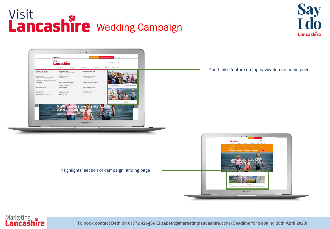### Visit **Lancashire** Wedding Campaign